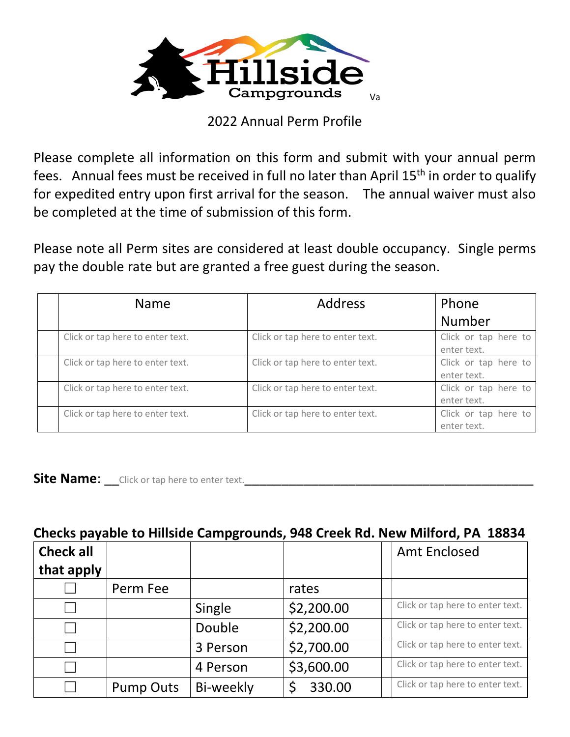

## 2022 Annual Perm Profile

Please complete all information on this form and submit with your annual perm fees. Annual fees must be received in full no later than April 15<sup>th</sup> in order to qualify for expedited entry upon first arrival for the season. The annual waiver must also be completed at the time of submission of this form.

Please note all Perm sites are considered at least double occupancy. Single perms pay the double rate but are granted a free guest during the season.

| <b>Name</b>                      | <b>Address</b>                   | Phone                               |  |  |
|----------------------------------|----------------------------------|-------------------------------------|--|--|
|                                  |                                  | <b>Number</b>                       |  |  |
| Click or tap here to enter text. | Click or tap here to enter text. | Click or tap here to<br>enter text. |  |  |
| Click or tap here to enter text. | Click or tap here to enter text. | Click or tap here to<br>enter text. |  |  |
| Click or tap here to enter text. | Click or tap here to enter text. | Click or tap here to<br>enter text. |  |  |
| Click or tap here to enter text. | Click or tap here to enter text. | Click or tap here to<br>enter text. |  |  |

**Site Name:** Click or tap here to enter text.

## **Checks payable to Hillside Campgrounds, 948 Creek Rd. New Milford, PA 18834**

| <b>Check all</b><br>that apply |                  |           |            | <b>Amt Enclosed</b>              |
|--------------------------------|------------------|-----------|------------|----------------------------------|
|                                | Perm Fee         |           | rates      |                                  |
|                                |                  | Single    | \$2,200.00 | Click or tap here to enter text. |
|                                |                  | Double    | \$2,200.00 | Click or tap here to enter text. |
|                                |                  | 3 Person  | \$2,700.00 | Click or tap here to enter text. |
|                                |                  | 4 Person  | \$3,600.00 | Click or tap here to enter text. |
|                                | <b>Pump Outs</b> | Bi-weekly | 330.00     | Click or tap here to enter text. |